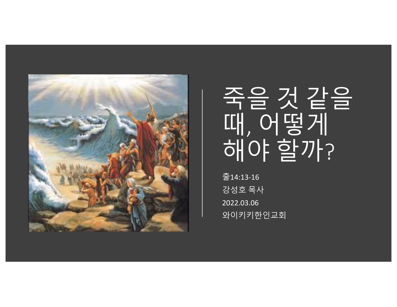

# 죽을 것 같을 때, 어떻게 해야 할까?

출14:13-16 강성호 목사 2022.03.06 와이키키한인교회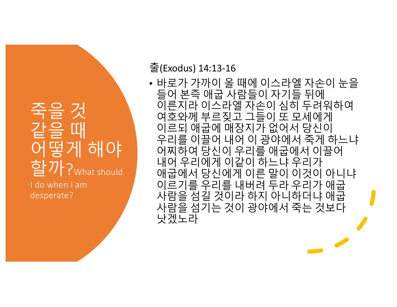#### 죽을 것 같을 때 어떻게 해야 학기 ?<sub>What should</sub> I do when I am desperate?

#### 출(Exodus) 14:13-16

• 바로가 가까이 올 때에 이스라엘 자손이 눈을 들어 본즉 애굽 사람들이 자기들 뒤에 이른지라 이스라엘 자손이 심히 두려워하여 여호와께 부르짖고 그들이 또 모세에게 이르되 애굽에 매장지가 없어서 당신이 우리를 이끌어 내어 이 광야에서 죽게 하느냐 어찌하여 당신이 우리를 애굽에서 이끌어 내어 우리에게 이같이 하느냐 우리가 애굽에서 당신에게 이른 말이 이것이 아니냐 이르기를 우리를 내버려 두라 우리가 애굽 사람을 섬길 것이라 하지 아니하더냐 애굽 사람을 섬기는 것이 광야에서 죽는 것보다 낫겠노라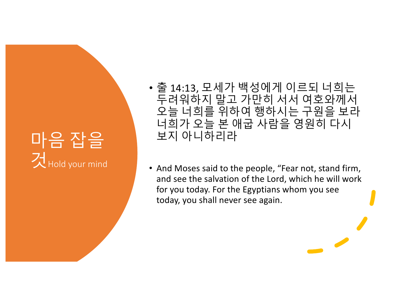### 마음 잡을 것Hold your mind

• 출 14:13, 모세가 백성에게 이르되 너희는 두려워하지 말고 가만히 서서 여호와께서 오늘 너희를 위하여 행하시는 구원을 보라 너희가 오늘 본 애굽 사람을 영원히 다시 보지 아니하리라

• And Moses said to the people, "Fear not, stand firm, and see the salvation of the Lord, which he will work for you today. For the Egyptians whom you see today, you shall never see again.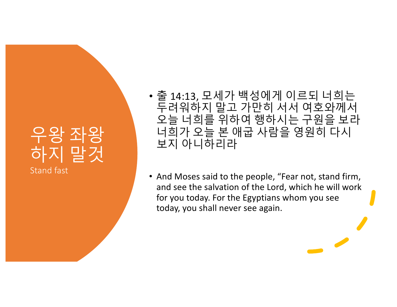#### 우왕 좌왕 하지 말것 Stand fast

• 출 14:13, 모세가 백성에게 이르되 너희는 두려워하지 말고 가만히 서서 여호와께서 오늘 너희를 위하여 행하시는 구원을 보라 너희가 오늘 본 애굽 사람을 영원히 다시 보지 아니하리라

• And Moses said to the people, "Fear not, stand firm, and see the salvation of the Lord, which he will work for you today. For the Egyptians whom you see today, you shall never see again.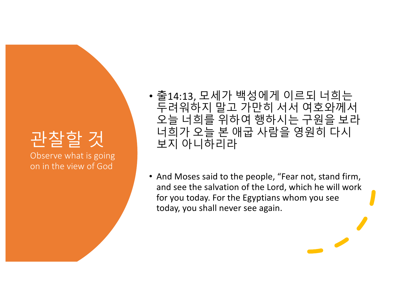### 관찰할 것

Observe what is going on in the view of God

- 출14:13, 모세가 백성에게 이르되 너희는 두려워하지 말고 가만히 서서 여호와께서 오늘 너희를 위하여 행하시는 구원을 보라 너희가 오늘 본 애굽 사람을 영원히 다시 보지 아니하리라
- And Moses said to the people, "Fear not, stand firm, and see the salvation of the Lord, which he will work for you today. For the Egyptians whom you see today, you shall never see again.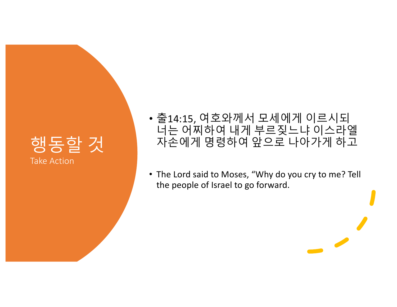#### 행동할 것 Take Action

- 출14:15, 여호와께서 모세에게 이르시되 너는 어찌하여 내게 부르짖느냐 이스라엘 자손에게 명령하여 앞으로 나아가게 하고
- The Lord said to Moses, "Why do you cry to me? Tell the people of Israel to go forward.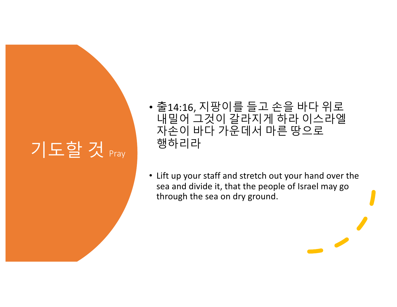## 기도할 것 <sub>Pray</sub>

- 출14:16, 지팡이를 들고 손을 바다 위로 내밀어 그것이 갈라지게 하라 이스라엘 자손이 바다 가운데서 마른 땅으로 행하리라
- Lift up your staff and stretch out your hand over the sea and divide it, that the people of Israel may go through the sea on dry ground.